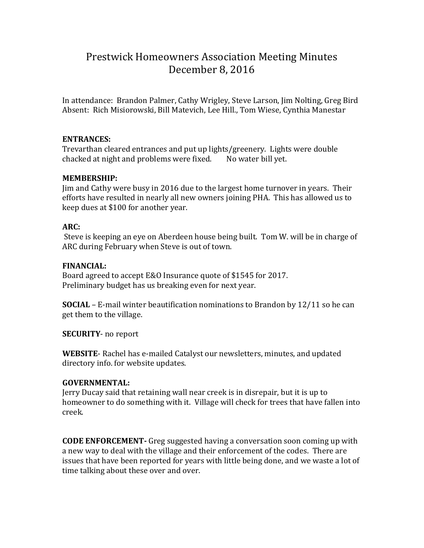# Prestwick Homeowners Association Meeting Minutes December 8, 2016

In attendance: Brandon Palmer, Cathy Wrigley, Steve Larson, Jim Nolting, Greg Bird Absent: Rich Misiorowski, Bill Matevich, Lee Hill., Tom Wiese, Cynthia Manestar

### **ENTRANCES:**

Trevarthan cleared entrances and put up lights/greenery. Lights were double chacked at night and problems were fixed. No water bill yet.

### **MEMBERSHIP:**

Jim and Cathy were busy in 2016 due to the largest home turnover in years. Their efforts have resulted in nearly all new owners joining PHA. This has allowed us to keep dues at \$100 for another year.

### **ARC:**

Steve is keeping an eye on Aberdeen house being built. Tom W. will be in charge of ARC during February when Steve is out of town.

### **FINANCIAL:**

Board agreed to accept E&O Insurance quote of \$1545 for 2017. Preliminary budget has us breaking even for next year.

**SOCIAL** – E-mail winter beautification nominations to Brandon by 12/11 so he can get them to the village.

#### **SECURITY**- no report

**WEBSITE**- Rachel has e-mailed Catalyst our newsletters, minutes, and updated directory info. for website updates.

## **GOVERNMENTAL:**

Jerry Ducay said that retaining wall near creek is in disrepair, but it is up to homeowner to do something with it. Village will check for trees that have fallen into creek.

**CODE ENFORCEMENT-** Greg suggested having a conversation soon coming up with a new way to deal with the village and their enforcement of the codes. There are issues that have been reported for years with little being done, and we waste a lot of time talking about these over and over.